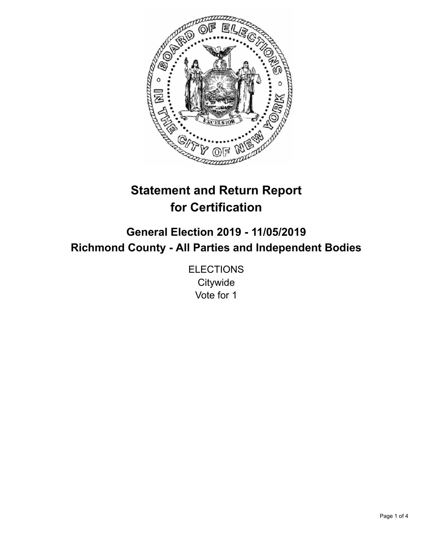

# **Statement and Return Report for Certification**

**General Election 2019 - 11/05/2019 Richmond County - All Parties and Independent Bodies**

> **ELECTIONS Citywide** Vote for 1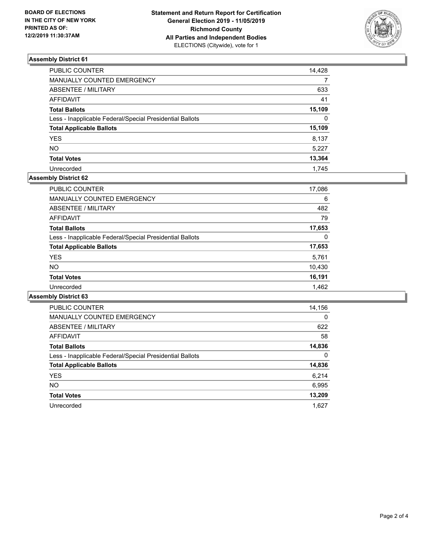

# **Assembly District 61**

| PUBLIC COUNTER                                           | 14,428   |
|----------------------------------------------------------|----------|
| MANUALLY COUNTED EMERGENCY                               |          |
| ABSENTEE / MILITARY                                      | 633      |
| AFFIDAVIT                                                | 41       |
| <b>Total Ballots</b>                                     | 15,109   |
| Less - Inapplicable Federal/Special Presidential Ballots | $\Omega$ |
| <b>Total Applicable Ballots</b>                          | 15,109   |
| <b>YES</b>                                               | 8,137    |
| NO                                                       | 5,227    |
| <b>Total Votes</b>                                       | 13,364   |
| Unrecorded                                               | 1.745    |

# **Assembly District 62**

| 17,086 |
|--------|
| 6      |
| 482    |
| 79     |
| 17,653 |
| 0      |
| 17,653 |
| 5,761  |
| 10,430 |
| 16,191 |
| 1.462  |
|        |

#### **Assembly District 63**

| <b>PUBLIC COUNTER</b>                                    | 14,156   |
|----------------------------------------------------------|----------|
| <b>MANUALLY COUNTED EMERGENCY</b>                        | $\Omega$ |
| ABSENTEE / MILITARY                                      | 622      |
| <b>AFFIDAVIT</b>                                         | 58       |
| <b>Total Ballots</b>                                     | 14,836   |
| Less - Inapplicable Federal/Special Presidential Ballots | $\Omega$ |
| <b>Total Applicable Ballots</b>                          | 14,836   |
| <b>YES</b>                                               | 6,214    |
| <b>NO</b>                                                | 6,995    |
| <b>Total Votes</b>                                       | 13,209   |
| Unrecorded                                               | 1.627    |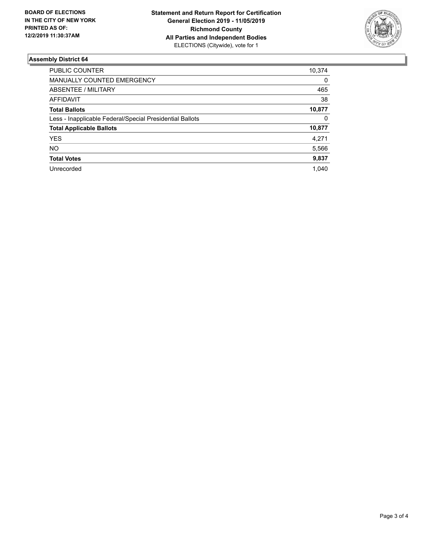

# **Assembly District 64**

| PUBLIC COUNTER                                           | 10,374 |
|----------------------------------------------------------|--------|
| <b>MANUALLY COUNTED EMERGENCY</b>                        | 0      |
| ABSENTEE / MILITARY                                      | 465    |
| AFFIDAVIT                                                | 38     |
| <b>Total Ballots</b>                                     | 10,877 |
| Less - Inapplicable Federal/Special Presidential Ballots | 0      |
| <b>Total Applicable Ballots</b>                          | 10,877 |
| <b>YES</b>                                               | 4,271  |
| NO.                                                      | 5,566  |
| <b>Total Votes</b>                                       | 9,837  |
| Unrecorded                                               | 1.040  |